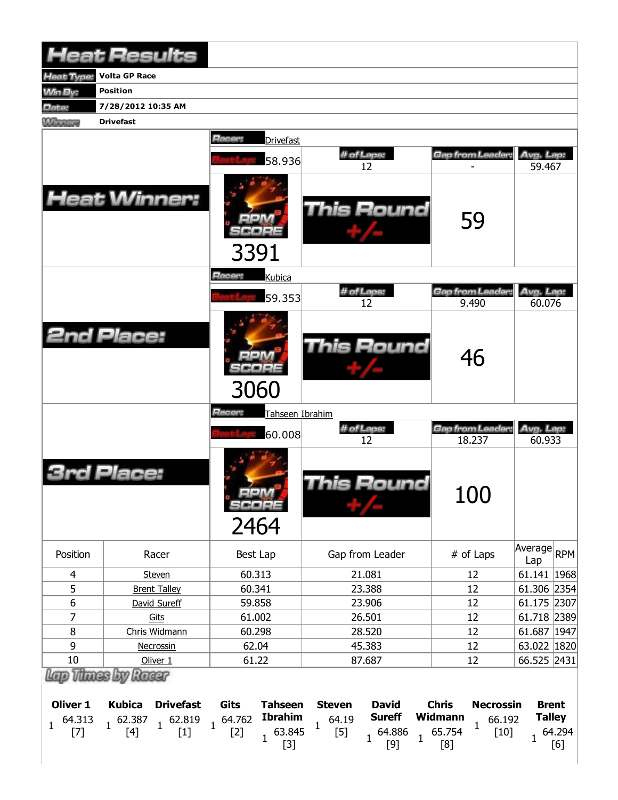|                                 | <b>Heat Results</b>                                                                                           |                                                                            |                                                                                         |                                                   |                                                  |  |  |  |  |  |  |
|---------------------------------|---------------------------------------------------------------------------------------------------------------|----------------------------------------------------------------------------|-----------------------------------------------------------------------------------------|---------------------------------------------------|--------------------------------------------------|--|--|--|--|--|--|
| Heat Type:                      | <b>Volta GP Race</b>                                                                                          |                                                                            |                                                                                         |                                                   |                                                  |  |  |  |  |  |  |
| <b>Min By:</b>                  | <b>Position</b>                                                                                               |                                                                            |                                                                                         |                                                   |                                                  |  |  |  |  |  |  |
| Date:                           | 7/28/2012 10:35 AM                                                                                            |                                                                            |                                                                                         |                                                   |                                                  |  |  |  |  |  |  |
| <b>Winners</b>                  | <b>Drivefast</b>                                                                                              |                                                                            |                                                                                         |                                                   |                                                  |  |  |  |  |  |  |
|                                 | <b>Heat Winner:</b>                                                                                           | Hacer:<br><b>Drivefast</b><br>58.936                                       | # of Laps:<br>Gap from Leader:<br>12<br>This Round<br>59                                |                                                   |                                                  |  |  |  |  |  |  |
|                                 |                                                                                                               | 3391<br>Racer:<br>Kubica                                                   | # of Laps:                                                                              | Gap from Leader                                   | Avg. Lap:                                        |  |  |  |  |  |  |
|                                 |                                                                                                               | 59.353                                                                     | 12                                                                                      | 9.490                                             | 60.076                                           |  |  |  |  |  |  |
|                                 | <b>2nd Place:</b>                                                                                             | 3060                                                                       | <b>This Round</b>                                                                       | 46                                                |                                                  |  |  |  |  |  |  |
|                                 |                                                                                                               | Racer:<br>Tahseen Ibrahim                                                  |                                                                                         |                                                   |                                                  |  |  |  |  |  |  |
|                                 |                                                                                                               | 60.008                                                                     | # of Laps:<br>12                                                                        | <b>Gap from Leader:</b><br>18.237                 | Avg. Lap:<br>60.933                              |  |  |  |  |  |  |
|                                 | Place:                                                                                                        | $=1.4$<br>SCORE<br>2464                                                    | <b>This Round</b>                                                                       | <b>100</b>                                        |                                                  |  |  |  |  |  |  |
| Position                        | Racer                                                                                                         | Best Lap                                                                   | Gap from Leader                                                                         | # of Laps                                         | $\sqrt{\text{Average}}$ <sub>RPM</sub><br>Lap    |  |  |  |  |  |  |
| $\overline{4}$                  | Steven                                                                                                        | 60.313                                                                     | 21.081                                                                                  | 12                                                | 61.141   1968                                    |  |  |  |  |  |  |
| 5                               | <b>Brent Talley</b>                                                                                           | 60.341                                                                     | 23.388                                                                                  | 12                                                | 61.306 2354                                      |  |  |  |  |  |  |
| 6                               | David Sureff                                                                                                  | 59.858                                                                     | 23.906                                                                                  | 12                                                | 61.175 2307                                      |  |  |  |  |  |  |
| 7                               | Gits                                                                                                          | 61.002                                                                     | 26.501                                                                                  | 12                                                | 61.718 2389                                      |  |  |  |  |  |  |
| 8<br>9                          | Chris Widmann<br>Necrossin                                                                                    | 60.298<br>62.04                                                            | 28.520<br>45.383                                                                        | 12<br>12                                          | 61.687 1947<br>63.022 1820                       |  |  |  |  |  |  |
| 10                              | Oliver <sub>1</sub>                                                                                           | 61.22                                                                      | 87.687                                                                                  | 12                                                | 66.525 2431                                      |  |  |  |  |  |  |
| <b>Oliver 1</b>                 | Lap Those by Racer<br><b>Kubica</b><br><b>Drivefast</b>                                                       | Gits<br><b>Tahseen</b>                                                     | <b>Steven</b><br><b>David</b>                                                           | <b>Chris</b><br><b>Necrossin</b>                  | <b>Brent</b>                                     |  |  |  |  |  |  |
| 64.313<br>$\mathbf{1}$<br>$[7]$ | $1\begin{array}{c} 62.387 \\ 541 \end{array}$ $1\begin{array}{c} 62.819 \\ 511 \end{array}$<br>$[4]$<br>$[1]$ | <b>Ibrahim</b><br>$1^{64.762}$<br>$[2]$<br>63.845<br>$\mathbf{1}$<br>$[3]$ | <b>Sureff</b><br>64.19<br>$\mathbf{1}$<br>$[5]$<br>64.886<br>$\mathbf{1}$<br>1<br>$[9]$ | Widmann<br>66.192<br>1<br>65.754<br>$[10]$<br>[8] | <b>Talley</b><br>64.294<br>$\mathbf{1}$<br>$[6]$ |  |  |  |  |  |  |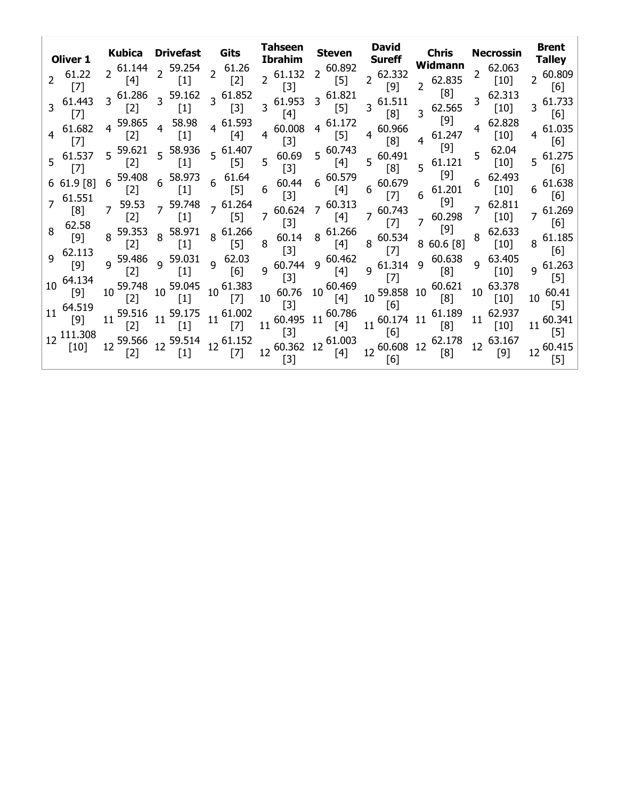| $\overline{2}$ | Oliver 1<br>61.22                                                                                                                                                                     | <b>Kubica</b><br>$2^{61.144}$<br>$[4]$          | <b>Drivefast</b><br>59.254<br>$\overline{2}$<br>$[1]$         | <b>Gits</b><br>61.26<br>$[2]$                          | Tahseen<br>Ibrahim<br>61.132<br>$\overline{2}$              | <b>Steven</b><br>60.892<br>$\overline{2}$<br>$[5]$  | <b>David</b><br><b>Sureff</b><br>62.332<br>$\overline{2}$ | <b>Chris</b><br>Widmann<br>62.835          | <b>Necrossin</b><br>62.063<br>2<br>$[10]$                   | <b>Brent</b><br>Talley<br>60.809         |
|----------------|---------------------------------------------------------------------------------------------------------------------------------------------------------------------------------------|-------------------------------------------------|---------------------------------------------------------------|--------------------------------------------------------|-------------------------------------------------------------|-----------------------------------------------------|-----------------------------------------------------------|--------------------------------------------|-------------------------------------------------------------|------------------------------------------|
| 3              | $[7] % \includegraphics[width=0.9\columnwidth]{figures/fig_10.pdf} \caption{The 3D (black) model for the estimators in the left and right.} \label{fig:2}$<br>61.443<br>[7]<br>61.682 | $3^{61.286}$<br>$[2]$<br>4 59.865               | 59.162<br>$\overline{3}$<br>$\lfloor 1 \rfloor$<br>58.98<br>4 | $3\text{ }61.852$<br>$[3]$<br>61.593<br>$\overline{4}$ | [3]<br>$3\text{ }61.953$<br>[4]<br>60.008                   | 61.821<br>3<br>$[5]$<br>61.172<br>$\overline{4}$    | [9]<br>61.511<br>3<br>[8]<br>60.966                       | [8]<br>62.565<br>3<br>[9]                  | 62.313<br>$[10]$<br>62.828<br>4                             | [6]<br>$3^{61.733}$<br>161<br>61.035     |
| 5              | 171<br>61.537<br>[7]                                                                                                                                                                  | $[2]$<br>$5\frac{59.621}{5}$<br>$[2]$           | $[1]$<br>5 58.936<br>$[1]$                                    | $[4]$<br>$5\,61.407$<br>$[5]$                          | $\overline{4}$<br>$[3]$<br>60.69<br>5<br>$[3]$              | $[5]$<br>$5\,60.743$<br>$[4]$                       | 4<br>[8]<br>$5\text{ }60.491$<br>$\lceil 8 \rceil$        | 61.247<br>4<br>[9]<br>61.121<br>5<br>$[9]$ | $[10]$<br>62.04<br>5<br>$[10]$                              | 4<br>[6]<br>61.275<br>5<br>[6]           |
|                | 661.9[8]<br>61.551<br>[8]                                                                                                                                                             | 59.408<br>6<br>$[2]$<br>59.53<br>$\overline{7}$ | 58.973<br>6 <sup>1</sup><br>$\left[1\right]$<br>7 59.748      | 61.64<br>6<br>$[5]$<br>$7^{61.264}$                    | 60.44<br>6<br>$\lceil 3 \rceil$<br>60.624<br>$\overline{7}$ | 60.579<br>6<br>[4]<br>$7^{60.313}$                  | 60.679<br>6<br>[7]<br>60.743                              | 61.201<br>6<br>$[9]$<br>60.298             | 62.493<br>6<br>$[10]$<br>62.811                             | 61.638<br>6<br>[6]<br>61.269             |
| 8              | 62.58<br>[9]<br>62.113                                                                                                                                                                | $[2]$<br>59.353<br>8<br>$[2]$                   | 1 <br>58.971<br>8<br>$\lfloor 1 \rfloor$                      | $[5]$<br>$8\text{ }61.266$<br>$[5]$                    | $[3]$<br>60.14<br>8<br>$[3]$                                | [4]<br>61.266<br>8<br>[4]                           | $[7]$<br>60.534<br>8<br>[7]                               | 7<br>[9]<br>860.6[8]                       | $[10]$<br>62.633<br>$[10]$                                  | [6]<br>61.185<br>8<br>[6]                |
| 10             | [9]<br>64.134<br>[9]                                                                                                                                                                  | 59.486<br>9<br>$[2]$<br>59.748<br>10<br>$[2]$   | 59.031<br>9<br>$\vert$ 1<br>59.045<br>10<br>$[1]$             | 62.03<br>9<br>[6]<br>$10^{61.383}$<br>$[7]$            | 60.744<br>9<br>$[3]$<br>60.76<br>10                         | 60.462<br>$\overline{9}$<br>[4]<br>10 60.469<br>[4] | 61.314<br>9<br>[7]<br>59.858<br>10                        | 60.638<br>9<br>[8]<br>60.621<br>10<br>[8]  | 63.405<br>9<br>$[10]$<br>63.378<br>10<br>$\lceil 10 \rceil$ | 61.263<br>9<br>$[5]$<br>60.41<br>10      |
| 11             | 64.519<br>[9]<br>12 111.308                                                                                                                                                           | 59.516<br>11<br>$[2]$<br>59.566                 | 59.175<br>11<br>$[1]$<br>59.514                               | 61.002<br>$[7]$<br>12 61.152                           | $[3]$<br>$11^{60.495}$<br>$[3]$                             | 60.786<br>11<br>[4]<br>12 61.003                    | [6]<br>60.174 11<br>11<br>[6]                             | 61.189<br>[8]<br>62.178                    | 62.937<br>11<br>$[10]$<br>63.167                            | $\lceil 5 \rceil$<br>60.341<br>11<br>[5] |
|                | [10]                                                                                                                                                                                  | 12<br>$[2]$                                     | 12 <sup>12</sup><br>[1]                                       | $[7]$                                                  | 12 60.362<br>[3]                                            | $[4]$                                               | 60.608 12<br>12<br>[6]                                    | [8]                                        | 12 <sup>2</sup><br>$[9]$                                    | 60.415<br>12<br>[5]                      |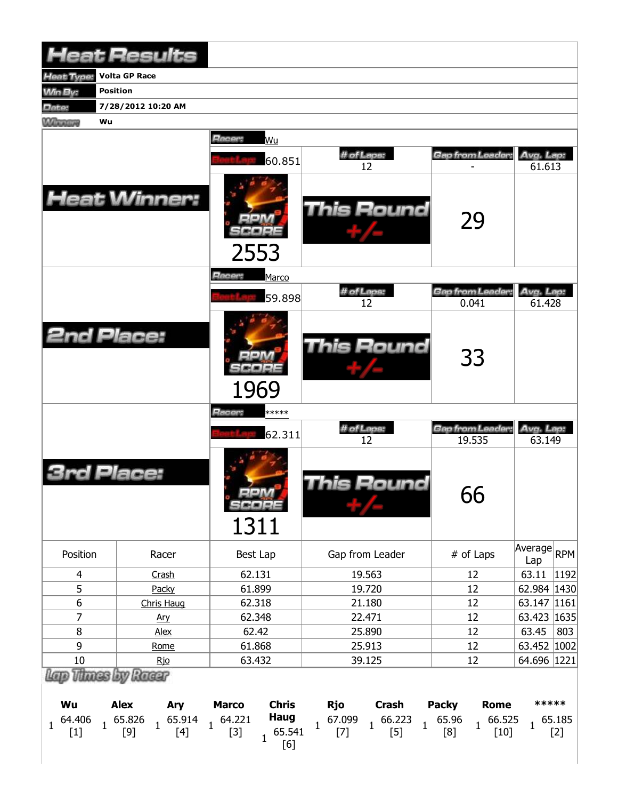|                                                       | <b>Heat Results</b>                                                                                 |                                                                                                       |                                                                                                        |                                                                                   |                                |
|-------------------------------------------------------|-----------------------------------------------------------------------------------------------------|-------------------------------------------------------------------------------------------------------|--------------------------------------------------------------------------------------------------------|-----------------------------------------------------------------------------------|--------------------------------|
| <b>Heat Type:</b>                                     | <b>Volta GP Race</b>                                                                                |                                                                                                       |                                                                                                        |                                                                                   |                                |
| <b>Win By:</b><br><b>Position</b>                     |                                                                                                     |                                                                                                       |                                                                                                        |                                                                                   |                                |
| Date:                                                 | 7/28/2012 10:20 AM                                                                                  |                                                                                                       |                                                                                                        |                                                                                   |                                |
| <b>Winnipeg</b><br>Wu                                 |                                                                                                     |                                                                                                       |                                                                                                        |                                                                                   |                                |
|                                                       |                                                                                                     | Racer:<br>Wu<br>60.851                                                                                | # of Laps:<br>12                                                                                       | <b>Gap from Leader:</b>                                                           | Avg. Lap:<br>61.613            |
|                                                       | <b>Heat Winner:</b>                                                                                 | 2553                                                                                                  | <b>This Round</b>                                                                                      | 29                                                                                |                                |
|                                                       |                                                                                                     | Racer:<br>Marco<br>59.898                                                                             | # of Laps:                                                                                             | Gap from Leader:<br>0.041                                                         | Avg. Lap:                      |
| <b>2nd Place:</b>                                     |                                                                                                     | 1969                                                                                                  | 12<br><b>This Round</b>                                                                                | 33                                                                                | 61.428                         |
|                                                       |                                                                                                     | Racer:<br>*****<br>62.311                                                                             | # of Laps:<br>12                                                                                       | Gap from Leader:<br>19.535                                                        | Avg. Lap:<br>63.149            |
|                                                       | Place:                                                                                              | $=1.4$<br>SCORE<br>1311                                                                               | This Round                                                                                             | 66                                                                                |                                |
| Position                                              | Racer                                                                                               | Best Lap                                                                                              | Gap from Leader                                                                                        | # of Laps                                                                         | Average RPM<br>Lap             |
| $\overline{4}$                                        | Crash                                                                                               | 62.131                                                                                                | 19.563                                                                                                 | 12                                                                                | 63.11<br> 1192                 |
| 5                                                     | Packy                                                                                               | 61.899                                                                                                | 19.720                                                                                                 | 12                                                                                | 62.984 1430                    |
| $\boldsymbol{6}$                                      | Chris Haug                                                                                          | 62.318                                                                                                | 21.180                                                                                                 | 12                                                                                | 63.147 1161                    |
| $\overline{7}$                                        | Ary                                                                                                 | 62.348                                                                                                | 22.471                                                                                                 | 12                                                                                | 63.423 1635                    |
| $\bf 8$                                               | <b>Alex</b>                                                                                         | 62.42                                                                                                 | 25.890                                                                                                 | 12                                                                                | 803<br>63.45                   |
| 9                                                     | Rome                                                                                                | 61.868                                                                                                | 25.913                                                                                                 | 12                                                                                | 63.452 1002                    |
| $10\,$                                                | <u>Rjo</u>                                                                                          | 63.432                                                                                                | 39.125                                                                                                 | 12                                                                                | 64.696 1221                    |
| Wu<br>64.406<br>$\mathbf{1}$<br>$\mathbf{1}$<br>$[1]$ | <b>Thuse by Racar</b><br><b>Alex</b><br>Ary<br>65.914<br>65.826<br>$\overline{1}$<br>$[4]$<br>$[9]$ | <b>Marco</b><br><b>Chris</b><br><b>Haug</b><br>$1^{64.221}$<br>65.541<br>$[3]$<br>$\mathbf{1}$<br>[6] | <b>Rjo</b><br><b>Crash</b><br>67.099<br>$1^{66.223}$<br>$\mathbf{1}$<br>$\mathbf{1}$<br>$[5]$<br>$[7]$ | <b>Packy</b><br><b>Rome</b><br>65.96<br>66.525<br>$\overline{1}$<br>$[10]$<br>[8] | *****<br>$1^{65,185}$<br>$[2]$ |